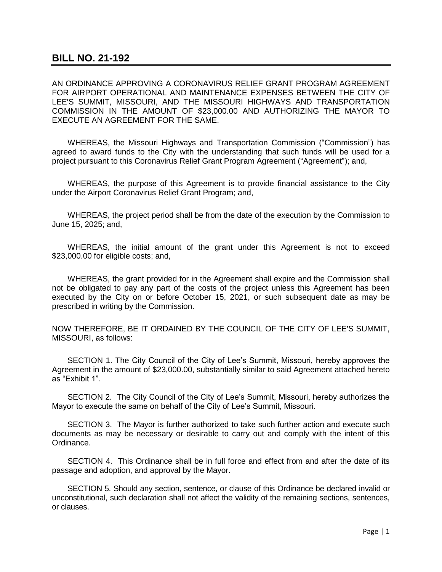AN ORDINANCE APPROVING A CORONAVIRUS RELIEF GRANT PROGRAM AGREEMENT FOR AIRPORT OPERATIONAL AND MAINTENANCE EXPENSES BETWEEN THE CITY OF LEE'S SUMMIT, MISSOURI, AND THE MISSOURI HIGHWAYS AND TRANSPORTATION COMMISSION IN THE AMOUNT OF \$23,000.00 AND AUTHORIZING THE MAYOR TO EXECUTE AN AGREEMENT FOR THE SAME.

WHEREAS, the Missouri Highways and Transportation Commission ("Commission") has agreed to award funds to the City with the understanding that such funds will be used for a project pursuant to this Coronavirus Relief Grant Program Agreement ("Agreement"); and,

WHEREAS, the purpose of this Agreement is to provide financial assistance to the City under the Airport Coronavirus Relief Grant Program; and,

WHEREAS, the project period shall be from the date of the execution by the Commission to June 15, 2025; and,

WHEREAS, the initial amount of the grant under this Agreement is not to exceed \$23,000.00 for eligible costs; and,

WHEREAS, the grant provided for in the Agreement shall expire and the Commission shall not be obligated to pay any part of the costs of the project unless this Agreement has been executed by the City on or before October 15, 2021, or such subsequent date as may be prescribed in writing by the Commission.

NOW THEREFORE, BE IT ORDAINED BY THE COUNCIL OF THE CITY OF LEE'S SUMMIT, MISSOURI, as follows:

SECTION 1. The City Council of the City of Lee's Summit, Missouri, hereby approves the Agreement in the amount of \$23,000.00, substantially similar to said Agreement attached hereto as "Exhibit 1".

SECTION 2. The City Council of the City of Lee's Summit, Missouri, hereby authorizes the Mayor to execute the same on behalf of the City of Lee's Summit, Missouri.

SECTION 3. The Mayor is further authorized to take such further action and execute such documents as may be necessary or desirable to carry out and comply with the intent of this Ordinance.

SECTION 4. This Ordinance shall be in full force and effect from and after the date of its passage and adoption, and approval by the Mayor.

SECTION 5. Should any section, sentence, or clause of this Ordinance be declared invalid or unconstitutional, such declaration shall not affect the validity of the remaining sections, sentences, or clauses.